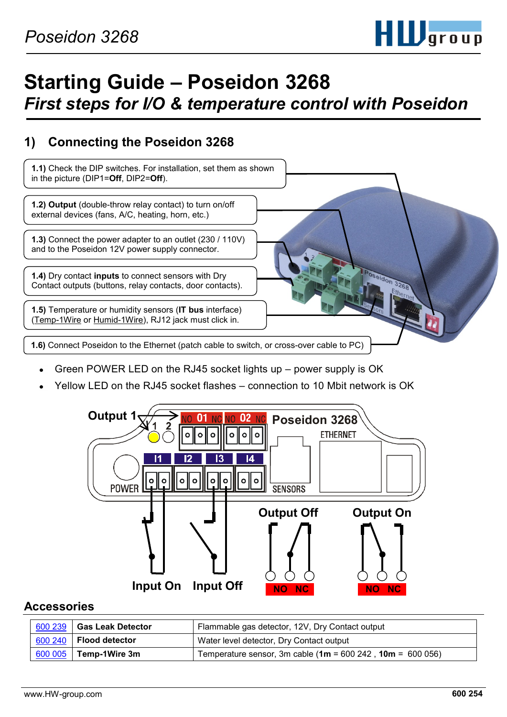

# **Starting Guide – Poseidon 3268** *First steps for I/O & temperature control with Poseidon*

### **1) Connecting the Poseidon 3268**



- Green POWER LED on the RJ45 socket lights up power supply is OK
- Yellow LED on the RJ45 socket flashes connection to 10 Mbit network is OK



#### **Accessories**

| 600 239 Gas Leak Detector        | Flammable gas detector, 12V, Dry Contact output              |
|----------------------------------|--------------------------------------------------------------|
| $\vert$ 600 240   Flood detector | Water level detector, Dry Contact output                     |
| 600 005 Temp-1Wire 3m            | Temperature sensor, 3m cable $(1m = 600 242, 10m = 600 056)$ |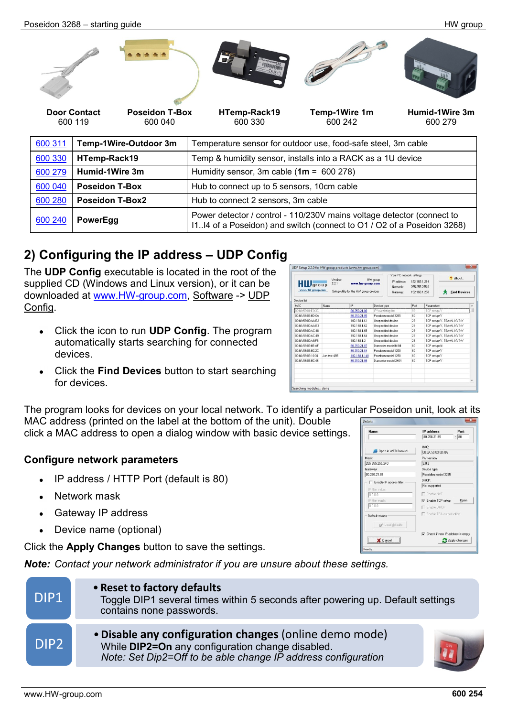Poseidon 3268 – starting guide HW group

[600](http://www.hw-group.com/products/sensors/Flood_detector_cz.html) <sup>240</sup> **PowerEgg** Power detector / control - 110/230V mains voltage detector (connect to

# **2) Configuring the IP address – UDP Config**

The **UDP Config** executable is located in the root of the supplied CD (Windows and Linux version), or it can be downloaded at [www.HW-group.com,](http://www.hw-group.com/) Software -> UDP Config.

- Click the icon to run **UDP Config**. The program automatically starts searching for connected devices.
- Click the **Find Devices** button to start searching for devices.

The program looks for devices on your local network. To identify a particular Poseidon unit, look at its MAC address (printed on the label at the bottom of the unit). Double

click a MAC address to open a dialog window with basic device settings.

#### **Configure network parameters**

- IP address / HTTP Port (default is 80)
- Network mask
- Gateway IP address
- Device name (optional)

Click the **Apply Changes** button to save the settings.

*Note: Contact your network administrator if you are unsure about these settings.* 



| $H\blacksquare$<br>www.HW-group.com | 2.2.1        | www.hw-group.com<br>Setup utility for the HW group devices | IP address:<br>Netmack:<br>Gateway: | 192.168.1.214<br>255 255 255 0<br>192.168.1.253 | <b>Find Devices</b><br>58 |  |  |
|-------------------------------------|--------------|------------------------------------------------------------|-------------------------------------|-------------------------------------------------|---------------------------|--|--|
| <b>Jevice list:</b>                 |              |                                                            |                                     |                                                 |                           |  |  |
| MAC.                                | Name         | IP                                                         | Device type                         | Port                                            | Parameters                |  |  |
| 00:04:59:01:E0:30                   |              | 80.250.21.88                                               | IP Watchdog lite                    | 99                                              | TCP setup=Y               |  |  |
| 00:04:59:03:00:0A                   |              | 80.250.21.85                                               | Poseidon model 3265                 | 80                                              | TCP setup=Y               |  |  |
| 00:04:59:00:AA:E2                   |              | 192.168.1.61                                               | Unspecified device                  | 23                                              | TCP setup=Y, TEA=N, NVT=Y |  |  |
| 00:04:59:00:44:E3                   |              | 192 168 1 62                                               | Unspecified device                  | 23                                              | TCP setup=Y, TEA=N, NVT=Y |  |  |
| 00:04:59:00:AC:48                   |              | 192.168.1.65                                               | Unspecified device                  | 23                                              | TCP setup=Y, TEA=N, NVT=Y |  |  |
| 00:04:59:00:AC:49                   |              | 192.168.1.64                                               | Unspecified device                  | 23                                              | TCP setup=Y. TEA=N. NVT=Y |  |  |
| 00:04:59:00:AR FR                   |              | 19216812                                                   | Unspecified device                  | 23                                              | TCP setup=Y. TEA=N. NVT=Y |  |  |
| 00:04:59:03:0E:AF                   |              | 80.250.21.87                                               | Damocles model MINI                 | 80                                              | TCP setup=N               |  |  |
| 00:04:59:03:0C:2C                   |              | 80.250.21.84                                               | Poseidon model 1250                 | 80                                              | TCP setup=Y               |  |  |
| 00:04:59:03:10:04                   | Jan test 485 | 192.168.1.148                                              | Poseidon model 1250                 | 80                                              | TCP setup=Y               |  |  |
| 00:04:59:03:00:48                   |              | 80.250.21.86                                               | Damocles model 2404                 | 80                                              | TCP setup=Y               |  |  |
|                                     |              |                                                            |                                     |                                                 |                           |  |  |
|                                     |              |                                                            |                                     |                                                 |                           |  |  |
|                                     |              |                                                            |                                     |                                                 |                           |  |  |
|                                     |              |                                                            |                                     |                                                 |                           |  |  |

I1..I4 of a Poseidon) and switch (connect to O1 / O2 of a Poseidon 3268)

UDP Setup 2.2.0 for HW group products (www.hw-group.com)

| Name:                   | IP address:                               | Port: |
|-------------------------|-------------------------------------------|-------|
|                         | 80.250.21.85                              | : 80  |
|                         | <b>MAC</b>                                |       |
| Open in WEB Browser     | 00:04:59:03:0D:0A                         |       |
| Mask:                   | FW version:                               |       |
| 255.255.255.240         | 3.0.2                                     |       |
| Gateway:                | Device type:                              |       |
| 80.250.21.81            | Poseidon model 3265                       |       |
| Enable IP access filter | DHCP:                                     |       |
| IP filter value:        | Not supported                             |       |
| 0.0.0.0                 | <b>F</b> Enable NVT                       |       |
| IP filter mask:         | Enable TCP setup                          | Open  |
| 0.0.0.0                 | Enable DHCP                               |       |
| Default values          | Enable TEA authorization                  |       |
| by Load defaults        |                                           |       |
|                         | $\nabla$ Check if new IP address is empty |       |
| Cancel                  | Apply changes                             |       |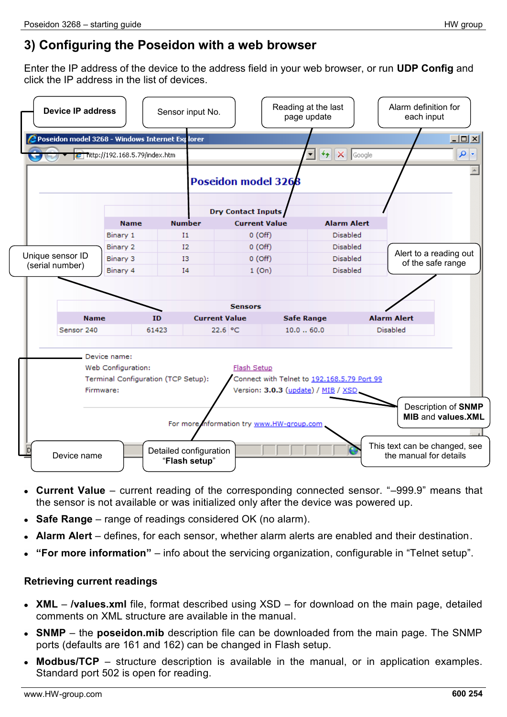## **3) Configuring the Poseidon with a web browser**

Enter the IP address of the device to the address field in your web browser, or run **UDP Config** and click the IP address in the list of devices.

| <b>Device IP address</b><br>Poseidon model 3268 - Windows Internet Explorer |                                                 | Sensor input No.                        |                                           | Reading at the last<br>page update                                                 |                                    | Alarm definition for<br>each input<br>$\Box$ D $\Box$   |
|-----------------------------------------------------------------------------|-------------------------------------------------|-----------------------------------------|-------------------------------------------|------------------------------------------------------------------------------------|------------------------------------|---------------------------------------------------------|
| v                                                                           | $\epsilon$ http://192.168.5.79/index.htm        |                                         | <b>Poseidon model 3268</b>                | $\mathcal{F}_{\mathcal{T}}\ \times\ $<br>▾╎                                        | Google                             | - م                                                     |
|                                                                             |                                                 |                                         | <b>Dry Contact Inputs</b>                 |                                                                                    |                                    |                                                         |
|                                                                             | <b>Name</b>                                     | <b>Number</b>                           | <b>Current Value</b>                      |                                                                                    | <b>Alarm Alert</b>                 |                                                         |
|                                                                             | Binary 1<br>Binary 2                            | I <sub>1</sub><br>12                    | $0($ Off $)$<br>0(Off)                    |                                                                                    | <b>Disabled</b><br><b>Disabled</b> |                                                         |
| Unique sensor ID                                                            | Binary 3                                        | 13                                      | 0(Off)                                    |                                                                                    | <b>Disabled</b>                    | Alert to a reading out                                  |
| (serial number)                                                             | Binary 4                                        | I <sub>4</sub>                          | 1(On)                                     |                                                                                    | Disabled                           | of the safe range                                       |
|                                                                             |                                                 |                                         | <b>Sensors</b>                            |                                                                                    |                                    |                                                         |
| <b>Name</b><br>Sensor 240                                                   |                                                 | <b>ID</b><br>61423                      | <b>Current Value</b><br>22.6 °C           | <b>Safe Range</b><br>10.060.0                                                      |                                    | <b>Alarm Alert</b><br><b>Disabled</b>                   |
|                                                                             | Device name:<br>Web Configuration:<br>Firmware: | Terminal Configuration (TCP Setup):     | Flash Setup                               | Connect with Telnet to 192.168.5.79 Port 99<br>Version: 3.0.3 (update) / MIB / XSD |                                    |                                                         |
|                                                                             |                                                 |                                         | For more information try www.HW-group.com |                                                                                    |                                    | Description of SNMP<br><b>MIB and values.XML</b>        |
| Device name                                                                 |                                                 | Detailed configuration<br>"Flash setup" |                                           |                                                                                    |                                    | This text can be changed, see<br>the manual for details |

- **Current Value** current reading of the corresponding connected sensor. "–999.9" means that the sensor is not available or was initialized only after the device was powered up.
- **Safe Range**  range of readings considered OK (no alarm).  $\bullet$
- **Alarm Alert**  defines, for each sensor, whether alarm alerts are enabled and their destination.
- **"For more information"** info about the servicing organization, configurable in "Telnet setup".

#### **Retrieving current readings**

- **XML /values.xml** file, format described using XSD for download on the main page, detailed comments on XML structure are available in the manual.
- **SNMP**  the **poseidon.mib** description file can be downloaded from the main page. The SNMP ports (defaults are 161 and 162) can be changed in Flash setup.
- **Modbus/TCP**  structure description is available in the manual, or in application examples.  $\bullet$ Standard port 502 is open for reading.